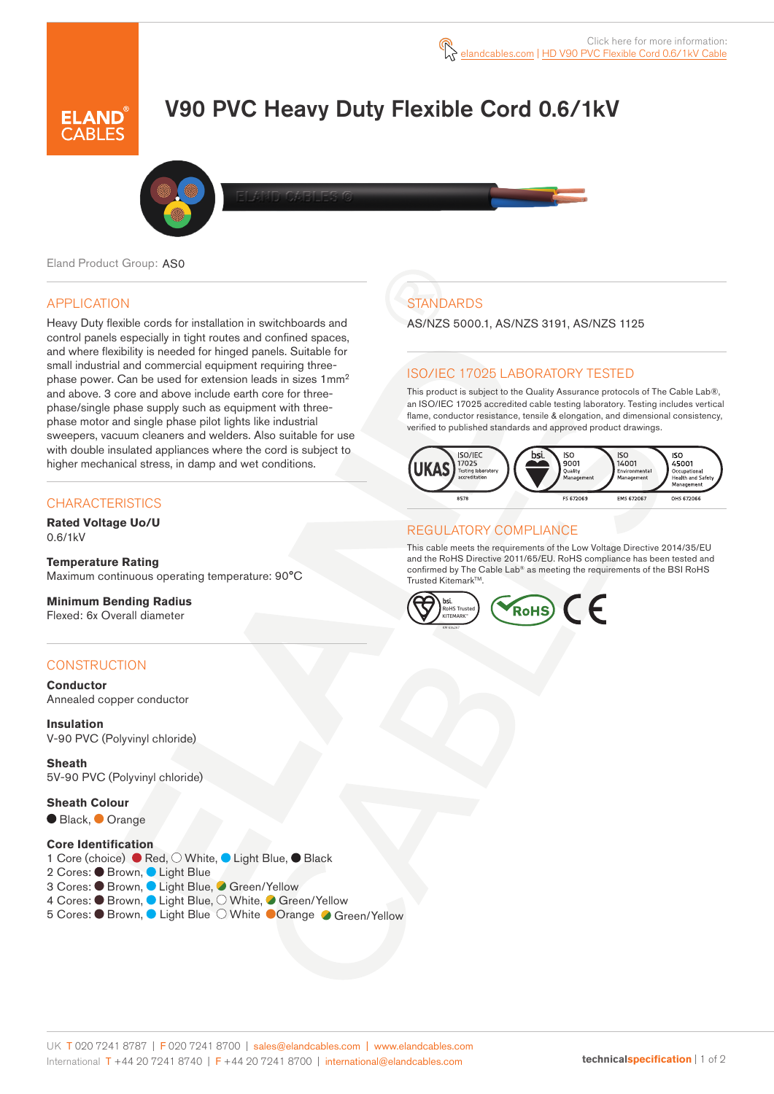# V90 PVC Heavy Duty Flexible Cord 0.6/1kV



Eland Product Group: AS0

## APPLICATION

Heavy Duty flexible cords for installation in switchboards and control panels especially in tight routes and confined spaces, and where flexibility is needed for hinged panels. Suitable for small industrial and commercial equipment requiring threephase power. Can be used for extension leads in sizes 1mm<sup>2</sup> and above. 3 core and above include earth core for threephase/single phase supply such as equipment with threephase motor and single phase pilot lights like industrial sweepers, vacuum cleaners and welders. Also suitable for use with double insulated appliances where the cord is subject to higher mechanical stress, in damp and wet conditions.

#### **CHARACTERISTICS**

**Rated Voltage Uo/U**  0.6/1kV

**Temperature Rating** Maximum continuous operating temperature: 90°C

**Minimum Bending Radius**  Flexed: 6x Overall diameter

## **CONSTRUCTION**

**Conductor** Annealed copper conductor

**Insulation** V-90 PVC (Polyvinyl chloride)

**Sheath** 5V-90 PVC (Polyvinyl chloride)

**Sheath Colour**

● Black, ● Orange

#### **Core Identification**

1 Core (choice) ● Red, O White, ● Light Blue, ● Black

- 2 Cores: <sup>D</sup> Brown, <sup>D</sup> Light Blue
- 3 Cores: Brown, Light Blue, Green/Yellow
- 4 Cores: Brown, Light Blue, O White, Green/Yellow
- 5 Cores: Brown, Light Blue O White Orange Green/Yellow

## **STANDARDS**

AS/NZS 5000.1, AS/NZS 3191, AS/NZS 1125

## ISO/IEC 17025 LABORATORY TESTED

This product is subject to the Quality Assurance protocols of The Cable Lab®, an ISO/IEC 17025 accredited cable testing laboratory. Testing includes vertical flame, conductor resistance, tensile & elongation, and dimensional consistency, verified to published standards and approved product drawings.



#### REGULATORY COMPLIANCE

This cable meets the requirements of the Low Voltage Directive 2014/35/EU and the RoHS Directive 2011/65/EU. RoHS compliance has been tested and confirmed by The Cable Lab® as meeting the requirements of the BSI RoHS Trusted Kitemark™

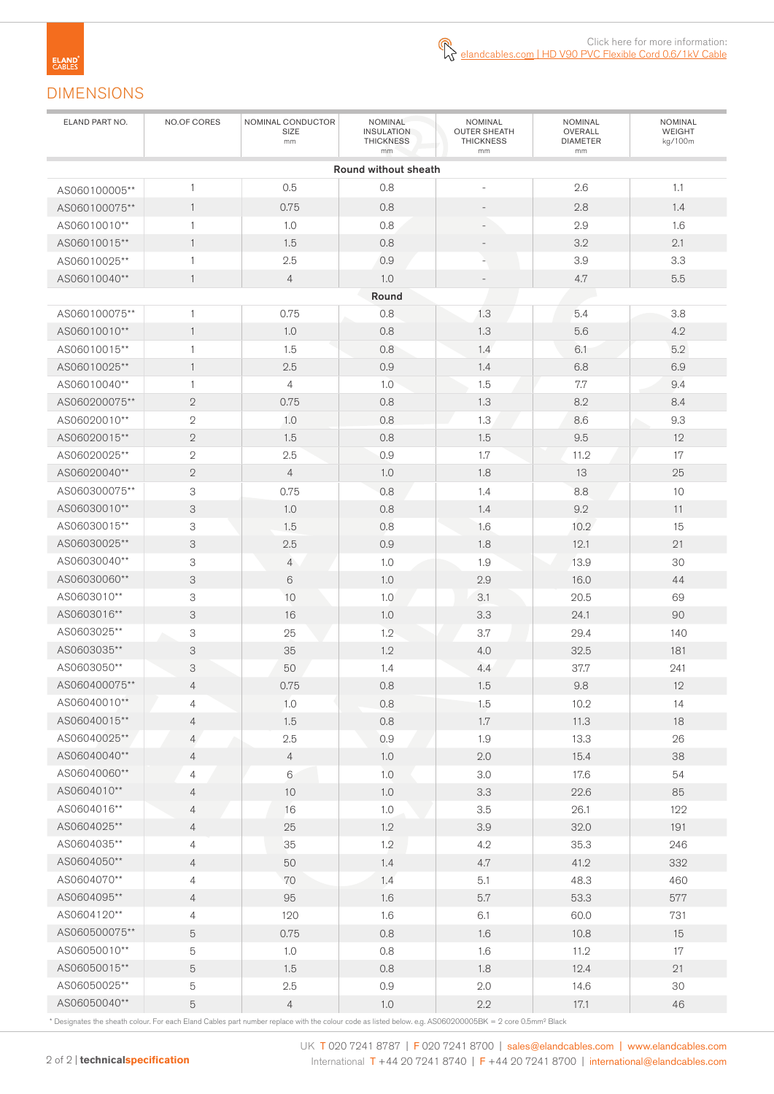## DIMENSIONS

| ELAND PART NO. | NO.OF CORES    | NOMINAL CONDUCTOR<br>SIZE<br>mm | NOMINAL<br><b>INSULATION</b><br><b>THICKNESS</b><br>mm | NOMINAL<br><b>OUTER SHEATH</b><br><b>THICKNESS</b><br>mm | NOMINAL<br>OVERALL<br><b>DIAMETER</b><br>mm | <b>NOMINAL</b><br>WEIGHT<br>kg/100m |  |
|----------------|----------------|---------------------------------|--------------------------------------------------------|----------------------------------------------------------|---------------------------------------------|-------------------------------------|--|
|                |                |                                 | Round without sheath                                   |                                                          |                                             |                                     |  |
| AS060100005**  | 1              | 0.5                             | 0.8                                                    | $\overline{\phantom{a}}$                                 | 2.6                                         | 1.1                                 |  |
| AS060100075**  | $\mathbf{1}$   | 0.75                            | 0.8                                                    |                                                          | 2.8                                         | 1.4                                 |  |
| AS06010010**   | $\mathbf{1}$   | 1.0                             | 0.8                                                    |                                                          | 2.9                                         | 1.6                                 |  |
| AS06010015**   | $\mathbf{1}$   | 1.5                             | 0.8                                                    |                                                          | 3.2                                         | 2.1                                 |  |
| AS06010025**   | 1              | 2.5                             | 0.9                                                    |                                                          | 3.9                                         | 3.3                                 |  |
| AS06010040**   | $\mathbf{1}$   | $\overline{4}$                  | 1.0                                                    | $\overline{\phantom{a}}$                                 | 4.7                                         | $5.5\,$                             |  |
| Round          |                |                                 |                                                        |                                                          |                                             |                                     |  |
| AS060100075**  | $\mathbf{1}$   | 0.75                            | 0.8                                                    | 1.3                                                      | 5.4                                         | 3.8                                 |  |
| AS06010010**   | $\mathbf{1}$   | 1.0                             | 0.8                                                    | 1.3                                                      | 5.6                                         | 4.2                                 |  |
| AS06010015**   | 1              | 1.5                             | 0.8                                                    | 1.4                                                      | 6.1                                         | 5.2                                 |  |
| AS06010025**   | $\mathbf{1}$   | 2.5                             | 0.9                                                    | 1.4                                                      | 6.8                                         | 6.9                                 |  |
| AS06010040**   | 1              | $\overline{4}$                  | 1.0                                                    | 1.5                                                      | $7.7\,$                                     | 9.4                                 |  |
| AS060200075**  | $\sqrt{2}$     | 0.75                            | 0.8                                                    | 1.3                                                      | 8.2                                         | 8.4                                 |  |
| AS06020010**   | $\sqrt{2}$     | 1.0                             | 0.8                                                    | 1.3                                                      | 8.6                                         | 9.3                                 |  |
| AS06020015**   | $\mathbf{2}$   | 1.5                             | 0.8                                                    | 1.5                                                      | 9.5                                         | 12                                  |  |
| AS06020025**   | $\sqrt{2}$     | 2.5                             | 0.9                                                    | 1.7                                                      | 11.2                                        | 17                                  |  |
| AS06020040**   | $\sqrt{2}$     | $\overline{4}$                  | 1.0                                                    | 1.8                                                      | 13                                          | 25                                  |  |
| AS060300075**  | 3              | 0.75                            | 0.8                                                    | 1.4                                                      | 8.8                                         | 10                                  |  |
| AS06030010**   | 3              | 1.0                             | 0.8                                                    | 1.4                                                      | 9.2                                         | 11                                  |  |
| AS06030015**   | 3              | 1.5                             | 0.8                                                    | 1.6                                                      | 10.2                                        | 15                                  |  |
| AS06030025**   | 3              | 2.5                             | 0.9                                                    | 1.8                                                      | 12.1                                        | 21                                  |  |
| AS06030040**   | 3              | $\overline{4}$                  | 1.0                                                    | 1.9                                                      | 13.9                                        | 30                                  |  |
| AS06030060**   | 3              | 6                               | 1.0                                                    | 2.9                                                      | 16.0                                        | 44                                  |  |
| AS0603010**    | 3              | 10                              | 1.0                                                    | 3.1                                                      | 20.5                                        | 69                                  |  |
| AS0603016**    | 3              | 16                              | 1.0                                                    | 3.3                                                      | 24.1                                        | 90                                  |  |
| AS0603025**    | 3              | 25                              | 1.2                                                    | 3.7                                                      | 29.4                                        | 140                                 |  |
| AS0603035**    | 3              | 35                              | 1.2                                                    | 4.0                                                      | 32.5                                        | 181                                 |  |
| AS0603050**    | 3              | 50                              | 1.4                                                    | 4.4                                                      | 37.7                                        | 241                                 |  |
| AS060400075**  | $\overline{4}$ | 0.75                            | 0.8                                                    | 1.5                                                      | 9.8                                         | 12                                  |  |
| AS06040010**   | 4              | 1.0                             | 0.8                                                    | 1.5                                                      | 10.2                                        | 14                                  |  |
| AS06040015**   | $\overline{4}$ | 1.5                             | 0.8                                                    | $1.7\,$                                                  | 11.3                                        | 18                                  |  |
| AS06040025**   | $\overline{4}$ | 2.5                             | 0.9                                                    | 1.9                                                      | 13.3                                        | 26                                  |  |
| AS06040040**   | $\overline{4}$ | $\overline{4}$                  | 1.0                                                    | $2.0\,$                                                  | 15.4                                        | 38                                  |  |
| AS06040060**   | $\overline{4}$ | $6\,$                           | 1.0                                                    | 3.0                                                      | 17.6                                        | 54                                  |  |
| AS0604010**    | 4              | $10$                            | 1.0                                                    | 3.3                                                      | 22.6                                        | 85                                  |  |
| AS0604016**    | 4              | 16                              | $1.0\,$                                                | $3.5\,$                                                  | 26.1                                        | 122                                 |  |
| AS0604025**    | 4              | 25                              | 1.2                                                    | 3.9                                                      | 32.0                                        | 191                                 |  |
| AS0604035**    | 4              | 35                              | 1.2                                                    | 4.2                                                      | 35.3                                        | 246                                 |  |
| AS0604050**    | 4              | 50                              | 1.4                                                    | 4.7                                                      | 41.2                                        | 332                                 |  |
| AS0604070**    | $\overline{4}$ | 70                              | 1.4                                                    | 5.1                                                      | 48.3                                        | 460                                 |  |
| AS0604095**    | 4              | 95                              | 1.6                                                    | 5.7                                                      | 53.3                                        | 577                                 |  |
| AS0604120**    | 4              | 120                             | 1.6                                                    | $6.1\,$                                                  | 60.0                                        | 731                                 |  |
| AS060500075**  | 5              | 0.75                            | 0.8                                                    | 1.6                                                      | 10.8                                        | 15                                  |  |
| AS06050010**   | 5              | 1.0                             | 0.8                                                    | 1.6                                                      | 11.2                                        | 17                                  |  |
| AS06050015**   | 5              | 1.5                             | 0.8                                                    | 1.8                                                      | 12.4                                        | 21                                  |  |
| AS06050025**   | 5              | $2.5\,$                         | $0.9\,$                                                | 2.0                                                      | 14.6                                        | 30                                  |  |
| AS06050040**   | 5              | $\overline{4}$                  | $1.0\,$                                                | 2.2                                                      | 17.1                                        | 46                                  |  |

\* Designates the sheath colour. For each Eland Cables part number replace with the colour code as listed below. e.g. AS060200005BK = 2 core 0.5mm² Black